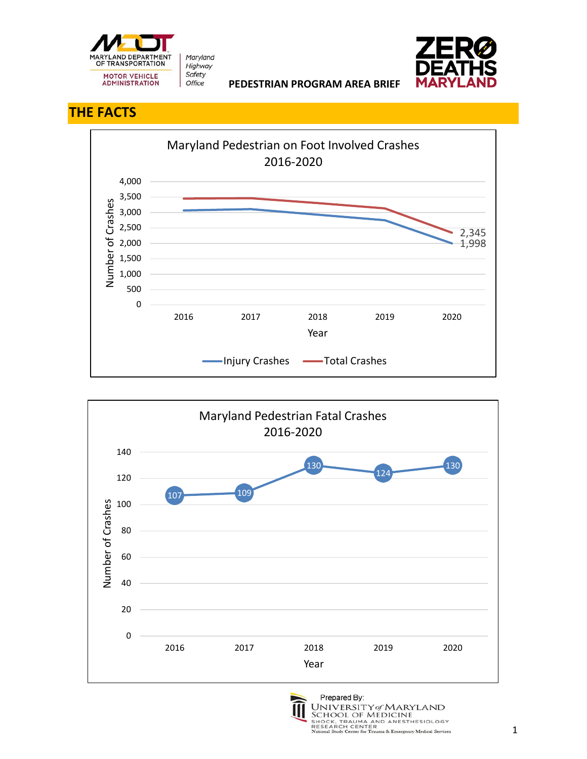

Maryland Highway Safety



**PEDESTRIAN PROGRAM AREA BRIEF** 

## **THE FACTS**





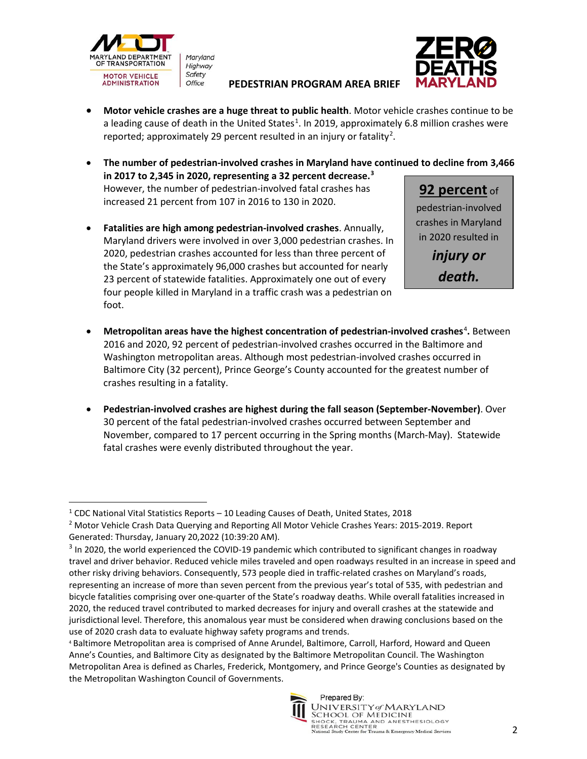

Maryland Highway Safety

## **PEDESTRIAN PROGRAM AREA BRIEF**



- **Motor vehicle crashes are a huge threat to public health**. Motor vehicle crashes continue to be a leading cause of death in the United States<sup>[1](#page-1-0)</sup>. In 2019, approximately 6.8 million crashes were reported; approximately [2](#page-1-1)9 percent resulted in an injury or fatality<sup>2</sup>.
- **The number of pedestrian-involved crashes in Maryland have continued to decline from 3,466 in 2017 to 2,345 in 2020, representing a 32 percent decrease. [3](#page-1-2)** However, the number of pedestrian-involved fatal crashes has increased 21 percent from 107 in 2016 to 130 in 2020. **92 percent** of
- **Fatalities are high among pedestrian-involved crashes**. Annually, Maryland drivers were involved in over 3,000 pedestrian crashes. In 2020, pedestrian crashes accounted for less than three percent of the State's approximately 96,000 crashes but accounted for nearly 23 percent of statewide fatalities. Approximately one out of every four people killed in Maryland in a traffic crash was a pedestrian on foot.

pedestrian-involved crashes in Maryland in 2020 resulted in

> *injury or death.*

- Metropolitan areas have the highest concentration of pedestrian-involved crashes<sup>[4](#page-1-3)</sup>. Between 2016 and 2020, 92 percent of pedestrian-involved crashes occurred in the Baltimore and Washington metropolitan areas. Although most pedestrian-involved crashes occurred in Baltimore City (32 percent), Prince George's County accounted for the greatest number of crashes resulting in a fatality.
- **Pedestrian-involved crashes are highest during the fall season (September-November)**. Over 30 percent of the fatal pedestrian-involved crashes occurred between September and November, compared to 17 percent occurring in the Spring months (March-May). Statewide fatal crashes were evenly distributed throughout the year.

<span id="page-1-3"></span><sup>4</sup> Baltimore Metropolitan area is comprised of Anne Arundel, Baltimore, Carroll, Harford, Howard and Queen Anne's Counties, and Baltimore City as designated by the Baltimore Metropolitan Council. The Washington Metropolitan Area is defined as Charles, Frederick, Montgomery, and Prince George's Counties as designated by the Metropolitan Washington Council of Governments.



<span id="page-1-0"></span><sup>&</sup>lt;sup>1</sup> CDC National Vital Statistics Reports  $-$  10 Leading Causes of Death, United States, 2018

<span id="page-1-1"></span><sup>2</sup> Motor Vehicle Crash Data Querying and Reporting All Motor Vehicle Crashes Years: 2015-2019. Report Generated: Thursday, January 20,2022 (10:39:20 AM).

<span id="page-1-2"></span><sup>&</sup>lt;sup>3</sup> In 2020, the world experienced the COVID-19 pandemic which contributed to significant changes in roadway travel and driver behavior. Reduced vehicle miles traveled and open roadways resulted in an increase in speed and other risky driving behaviors. Consequently, 573 people died in traffic-related crashes on Maryland's roads, representing an increase of more than seven percent from the previous year's total of 535, with pedestrian and bicycle fatalities comprising over one-quarter of the State's roadway deaths. While overall fatalities increased in 2020, the reduced travel contributed to marked decreases for injury and overall crashes at the statewide and jurisdictional level. Therefore, this anomalous year must be considered when drawing conclusions based on the use of 2020 crash data to evaluate highway safety programs and trends.